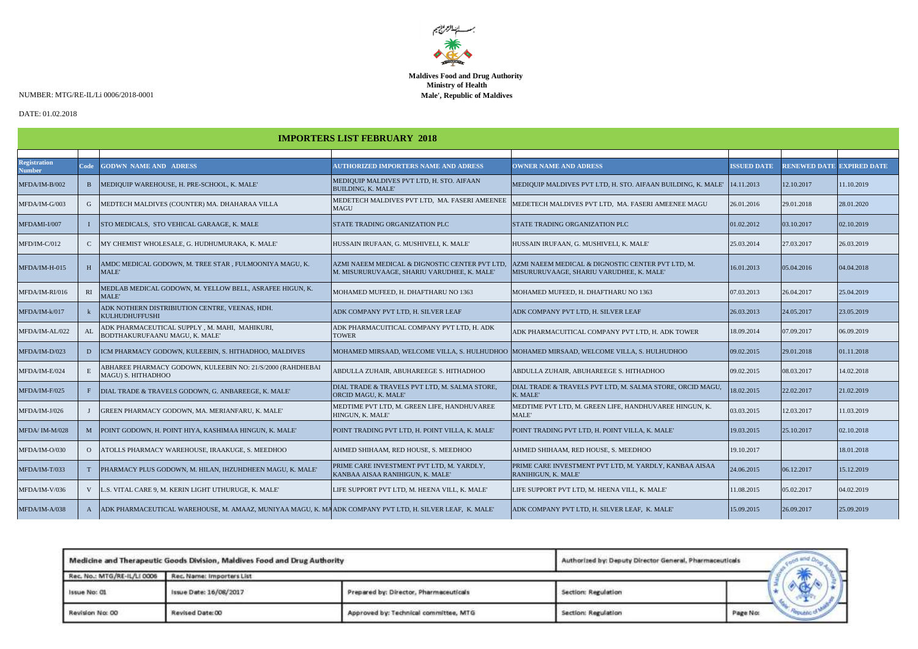

## **Maldives Food and Drug Authority Ministry of Health Male', Republic of Maldives**

NUMBER: MTG/RE-IL/Li 0006/2018-0001

## DATE: 01.02.2018

| <b>IMPORTERS LIST FEBRUARY 2018</b>  |                |                                                                                                          |                                                                                               |                                                                                               |                    |                                  |            |  |
|--------------------------------------|----------------|----------------------------------------------------------------------------------------------------------|-----------------------------------------------------------------------------------------------|-----------------------------------------------------------------------------------------------|--------------------|----------------------------------|------------|--|
|                                      |                |                                                                                                          |                                                                                               |                                                                                               |                    |                                  |            |  |
| <b>Registration</b><br><b>Number</b> | Code           | <b>GODWN NAME AND ADRESS</b>                                                                             | <b>AUTHORIZED IMPORTERS NAME AND ADRESS</b>                                                   | <b>OWNER NAME AND ADRESS</b>                                                                  | <b>ISSUED DATE</b> | <b>RENEWED DATE EXPIRED DATE</b> |            |  |
| MFDA/IM-B/002                        | $\mathbf{B}$   | MEDIQUIP WAREHOUSE, H. PRE-SCHOOL, K. MALE'                                                              | MEDIQUIP MALDIVES PVT LTD, H. STO. AIFAAN<br><b>BUILDING, K. MALE'</b>                        | MEDIQUIP MALDIVES PVT LTD, H. STO. AIFAAN BUILDING, K. MALE'   14.11.2013                     |                    | 12.10.2017                       | 11.10.2019 |  |
| MFDA/IM-G/003                        | G              | MEDTECH MALDIVES (COUNTER) MA. DHAHARAA VILLA                                                            | MEDETECH MALDIVES PVT LTD, MA. FASERI AMEENEE<br><b>MAGU</b>                                  | MEDETECH MALDIVES PVT LTD.  MA. FASERI AMEENEE MAGU                                           | 26.01.2016         | 29.01.2018                       | 28.01.2020 |  |
| MFDAMI-I/007                         | $\mathbf{I}$   | STO MEDICALS, STO VEHICAL GARAAGE, K. MALE                                                               | STATE TRADING ORGANIZATION PLC                                                                | STATE TRADING ORGANIZATION PLC                                                                | 01.02.2012         | 03.10.2017                       | 02.10.2019 |  |
| MFD/IM-C/012                         | $\mathbf{C}$   | MY CHEMIST WHOLESALE, G. HUDHUMURAKA, K. MALE'                                                           | HUSSAIN IRUFAAN, G. MUSHIVELI, K. MALE'                                                       | HUSSAIN IRUFAAN, G. MUSHIVELI, K. MALE'                                                       | 25.03.2014         | 27.03.2017                       | 26.03.2019 |  |
| MFDA/IM-H-015                        | H              | AMDC MEDICAL GODOWN. M. TREE STAR . FULMOONIYA MAGU. K.<br>MALE'                                         | AZMI NAEEM MEDICAL & DIGNOSTIC CENTER PVT LTD.<br>M. MISURURUVAAGE, SHARIU VARUDHEE, K. MALE' | AZMI NAEEM MEDICAL & DIGNOSTIC CENTER PVT LTD. M.<br>MISURURUVAAGE, SHARIU VARUDHEE, K. MALE' | 16.01.2013         | 05.04.2016                       | 04.04.2018 |  |
| MFDA/IM-RI/016                       | RI             | MEDLAB MEDICAL GODOWN, M. YELLOW BELL, ASRAFEE HIGUN, K.<br>MALE'                                        | MOHAMED MUFEED, H. DHAFTHARU NO 1363                                                          | MOHAMED MUFEED, H. DHAFTHARU NO 1363                                                          | 07.03.2013         | 26.04.2017                       | 25.04.2019 |  |
| MFDA/IM-k/017                        |                | ADK NOTHERN DISTRIBIUTION CENTRE, VEENAS, HDH.<br>KULHUDHUFFUSHI                                         | ADK COMPANY PVT LTD, H. SILVER LEAF                                                           | ADK COMPANY PVT LTD. H. SILVER LEAF                                                           | 26.03.2013         | 24.05.2017                       | 23.05.2019 |  |
| MFDA/IM-AL/022                       | ${\rm AL}$     | ADK PHARMACEUTICAL SUPPLY , M. MAHI,  MAHIKURI,<br>BODTHAKURUFAANU MAGU, K. MALE'                        | ADK PHARMACUITICAL COMPANY PVT LTD. H. ADK<br><b>TOWER</b>                                    | ADK PHARMACUITICAL COMPANY PVT LTD. H. ADK TOWER                                              | 18.09.2014         | 07.09.2017                       | 06.09.2019 |  |
| MFDA/IM-D/023                        | D              | ICM PHARMACY GODOWN, KULEEBIN, S. HITHADHOO, MALDIVES                                                    |                                                                                               | MOHAMED MIRSAAD, WELCOME VILLA, S. HULHUDHOO MOHAMED MIRSAAD, WELCOME VILLA, S. HULHUDHOO     | 09.02.2015         | 29.01.2018                       | 01.11.2018 |  |
| MFDA/IM-E/024                        | $\mathbf E$    | ABHAREE PHARMACY GODOWN, KULEEBIN NO: 21/S/2000 (RAHDHEBAI<br>MAGU) S. HITHADHOO                         | ABDULLA ZUHAIR, ABUHAREEGE S. HITHADHOO                                                       | ABDULLA ZUHAIR, ABUHAREEGE S. HITHADHOO                                                       | 09.02.2015         | 08.03.2017                       | 14.02.2018 |  |
| MFDA/IM-F/025                        | F              | DIAL TRADE & TRAVELS GODOWN, G. ANBAREEGE, K. MALE'                                                      | DIAL TRADE & TRAVELS PVT LTD, M. SALMA STORE,<br>ORCID MAGU, K. MALE'                         | DIAL TRADE & TRAVELS PVT LTD, M. SALMA STORE, ORCID MAGU,<br>K. MALE'                         | 18.02.2015         | 22.02.2017                       | 21.02.2019 |  |
| MFDA/IM-J/026                        |                | GREEN PHARMACY GODOWN, MA. MERIANFARU, K. MALE'                                                          | MEDTIME PVT LTD, M. GREEN LIFE, HANDHUVAREE<br>HINGUN, K. MALE'                               | MEDTIME PVT LTD. M. GREEN LIFE. HANDHUVAREE HINGUN, K.<br>MALE'                               | 03.03.2015         | 12.03.2017                       | 11.03.2019 |  |
| MFDA/IM-M/028                        | M              | POINT GODOWN, H. POINT HIYA, KASHIMAA HINGUN, K. MALE'                                                   | POINT TRADING PVT LTD. H. POINT VILLA, K. MALE'                                               | POINT TRADING PVT LTD. H. POINT VILLA, K. MALE'                                               | 19.03.2015         | 25.10.2017                       | 02.10.2018 |  |
| MFDA/IM-O/030                        | $\overline{O}$ | ATOLLS PHARMACY WAREHOUSE. IRAAKUGE. S. MEEDHOO                                                          | AHMED SHIHAAM, RED HOUSE, S. MEEDHOO                                                          | AHMED SHIHAAM, RED HOUSE, S. MEEDHOO                                                          | 19.10.2017         |                                  | 18.01.2018 |  |
| MFDA/IM-T/033                        | <sup>T</sup>   | PHARMACY PLUS GODOWN, M. HILAN, IHZUHDHEEN MAGU, K. MALE'                                                | PRIME CARE INVESTMENT PVT LTD, M. YARDLY,<br>KANBAA AISAA RANIHIGUN, K. MALE'                 | PRIME CARE INVESTMENT PVT LTD, M. YARDLY, KANBAA AISAA<br>RANIHIGUN, K. MALE'                 | 24.06.2015         | 06.12.2017                       | 15.12.2019 |  |
| MFDA/IM-V/036                        | V              | L.S. VITAL CARE 9, M. KERIN LIGHT UTHURUGE, K. MALE'                                                     | LIFE SUPPORT PVT LTD. M. HEENA VILL. K. MALE'                                                 | LIFE SUPPORT PVT LTD. M. HEENA VILL. K. MALE'                                                 | 11.08.2015         | 05.02.2017                       | 04.02.2019 |  |
| MFDA/IM-A/038                        | $\mathbf{A}$   | ADK PHARMACEUTICAL WAREHOUSE, M. AMAAZ, MUNIYAA MAGU, K. MAADK COMPANY PVT LTD, H. SILVER LEAF, K. MALE' |                                                                                               | ADK COMPANY PVT LTD, H. SILVER LEAF, K. MALE'                                                 | 15.09.2015         | 26.09.2017                       | 25.09.2019 |  |

|                             | Medicine and Therapeutic Goods Division, Maldives Food and Drug Authority | Authorized by: Deputy Director General, Pharmaceuticals |                     |          | A MING |                      |  |
|-----------------------------|---------------------------------------------------------------------------|---------------------------------------------------------|---------------------|----------|--------|----------------------|--|
| Rec. No.: MTG/RE-IL/LI 0006 | Rec. Name: Importers List                                                 |                                                         |                     |          |        |                      |  |
| Issue No: 01                | Issue Date: 16/08/2017                                                    | Prepared by: Director, Pharmaceuticals                  | Section: Regulation |          |        |                      |  |
| Revision No: 00             | Revised Date: 00                                                          | Approved by: Technical committee, MTG                   | Section: Regulation | Page No: |        | <b><i>POLISH</i></b> |  |